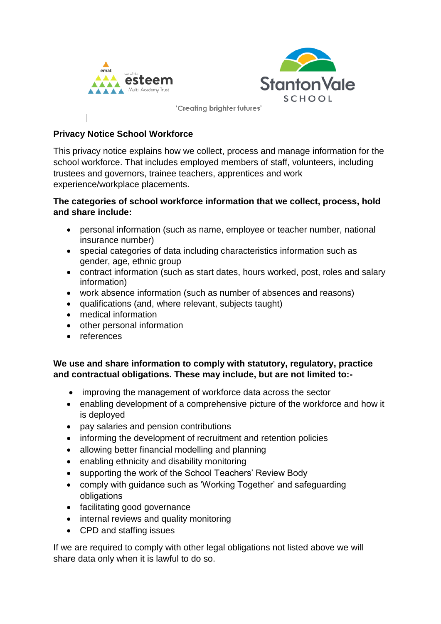



### **Privacy Notice School Workforce**

This privacy notice explains how we collect, process and manage information for the school workforce. That includes employed members of staff, volunteers, including trustees and governors, trainee teachers, apprentices and work experience/workplace placements.

# **The categories of school workforce information that we collect, process, hold and share include:**

- personal information (such as name, employee or teacher number, national insurance number)
- special categories of data including characteristics information such as gender, age, ethnic group
- contract information (such as start dates, hours worked, post, roles and salary information)
- work absence information (such as number of absences and reasons)
- qualifications (and, where relevant, subjects taught)
- medical information
- other personal information
- references

# **We use and share information to comply with statutory, regulatory, practice and contractual obligations. These may include, but are not limited to:-**

- improving the management of workforce data across the sector
- enabling development of a comprehensive picture of the workforce and how it is deployed
- pay salaries and pension contributions
- informing the development of recruitment and retention policies
- allowing better financial modelling and planning
- enabling ethnicity and disability monitoring
- supporting the work of the School Teachers' Review Body
- comply with guidance such as 'Working Together' and safeguarding obligations
- facilitating good governance
- internal reviews and quality monitoring
- CPD and staffing issues

If we are required to comply with other legal obligations not listed above we will share data only when it is lawful to do so.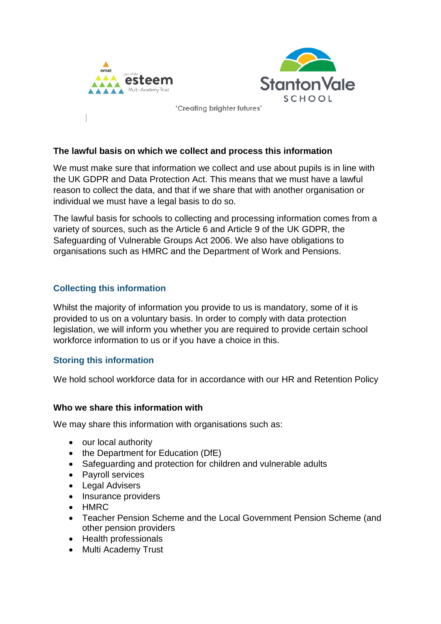



#### **The lawful basis on which we collect and process this information**

We must make sure that information we collect and use about pupils is in line with the UK GDPR and Data Protection Act. This means that we must have a lawful reason to collect the data, and that if we share that with another organisation or individual we must have a legal basis to do so.

The lawful basis for schools to collecting and processing information comes from a variety of sources, such as the Article 6 and Article 9 of the UK GDPR, the Safeguarding of Vulnerable Groups Act 2006. We also have obligations to organisations such as HMRC and the Department of Work and Pensions.

### **Collecting this information**

Whilst the majority of information you provide to us is mandatory, some of it is provided to us on a voluntary basis. In order to comply with data protection legislation, we will inform you whether you are required to provide certain school workforce information to us or if you have a choice in this.

# **Storing this information**

We hold school workforce data for in accordance with our HR and Retention Policy

#### **Who we share this information with**

We may share this information with organisations such as:

- our local authority
- the Department for Education (DfE)
- Safeguarding and protection for children and vulnerable adults
- Pavroll services
- Legal Advisers
- Insurance providers
- HMRC
- Teacher Pension Scheme and the Local Government Pension Scheme (and other pension providers
- Health professionals
- Multi Academy Trust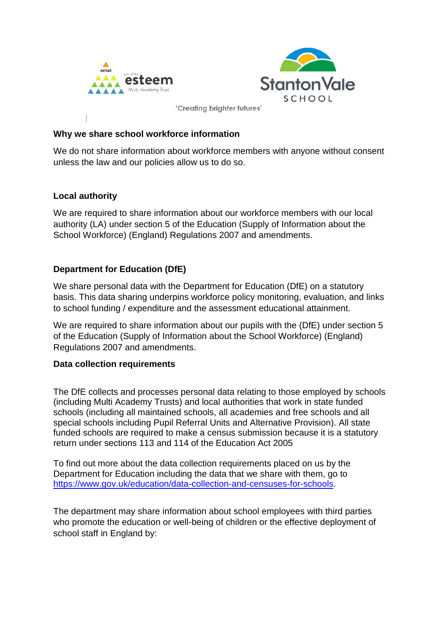



### **Why we share school workforce information**

We do not share information about workforce members with anyone without consent unless the law and our policies allow us to do so.

# **Local authority**

We are required to share information about our workforce members with our local authority (LA) under section 5 of the Education (Supply of Information about the School Workforce) (England) Regulations 2007 and amendments.

# **Department for Education (DfE)**

We share personal data with the Department for Education (DfE) on a statutory basis. This data sharing underpins workforce policy monitoring, evaluation, and links to school funding / expenditure and the assessment educational attainment.

We are required to share information about our pupils with the (DfE) under section 5 of the Education (Supply of Information about the School Workforce) (England) Regulations 2007 and amendments.

#### **Data collection requirements**

The DfE collects and processes personal data relating to those employed by schools (including Multi Academy Trusts) and local authorities that work in state funded schools (including all maintained schools, all academies and free schools and all special schools including Pupil Referral Units and Alternative Provision). All state funded schools are required to make a census submission because it is a statutory return under sections 113 and 114 of the Education Act 2005

To find out more about the data collection requirements placed on us by the Department for Education including the data that we share with them, go to [https://www.gov.uk/education/data-collection-and-censuses-for-schools.](https://www.gov.uk/education/data-collection-and-censuses-for-schools)

The department may share information about school employees with third parties who promote the education or well-being of children or the effective deployment of school staff in England by: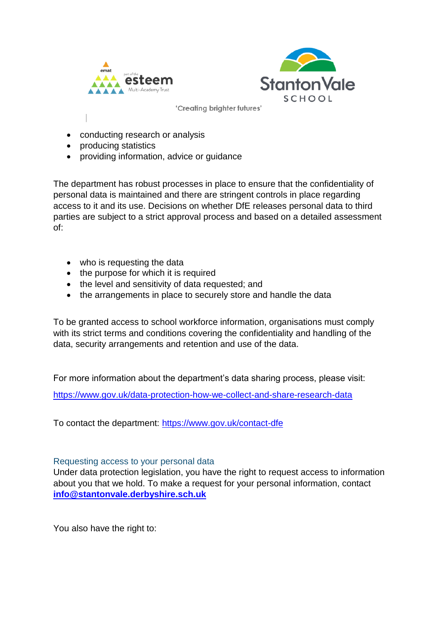



- conducting research or analysis
- producing statistics
- providing information, advice or guidance

The department has robust processes in place to ensure that the confidentiality of personal data is maintained and there are stringent controls in place regarding access to it and its use. Decisions on whether DfE releases personal data to third parties are subject to a strict approval process and based on a detailed assessment of:

- who is requesting the data
- the purpose for which it is required
- the level and sensitivity of data requested; and
- the arrangements in place to securely store and handle the data

To be granted access to school workforce information, organisations must comply with its strict terms and conditions covering the confidentiality and handling of the data, security arrangements and retention and use of the data.

For more information about the department's data sharing process, please visit:

<https://www.gov.uk/data-protection-how-we-collect-and-share-research-data>

To contact the department:<https://www.gov.uk/contact-dfe>

#### Requesting access to your personal data

Under data protection legislation, you have the right to request access to information about you that we hold. To make a request for your personal information, contact **[info@stantonvale.derbyshire.sch.uk](mailto:info@stantonvale.derbyshire.sch.uk)**

You also have the right to: